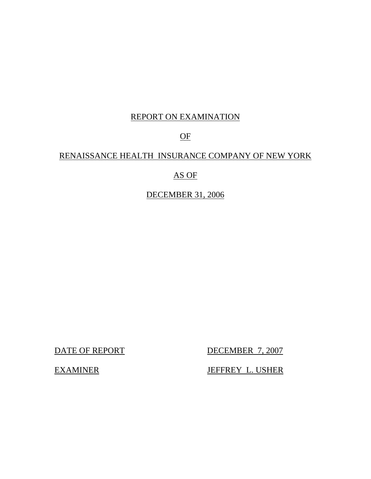# REPORT ON EXAMINATION

# OF

# RENAISSANCE HEALTH INSURANCE COMPANY OF NEW YORK

# AS OF

# DECEMBER 31, 2006

DATE OF REPORT DECEMBER 7, 2007

EXAMINER JEFFREY L. USHER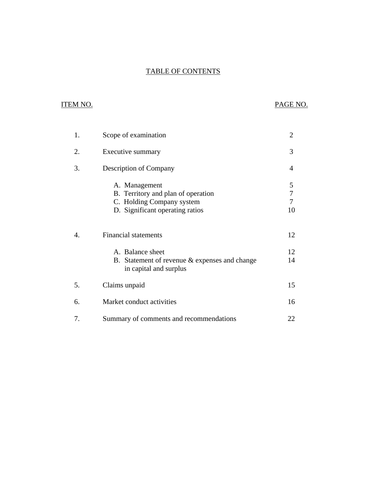# **TABLE OF CONTENTS** TABLE OF CONTENTS ITEM NO. PAGE NO.

# **ITEM NO.**

| 1. | Scope of examination                                                                                                | $\overline{2}$                 |
|----|---------------------------------------------------------------------------------------------------------------------|--------------------------------|
| 2. | Executive summary                                                                                                   | 3                              |
| 3. | <b>Description of Company</b>                                                                                       | 4                              |
|    | A. Management<br>B. Territory and plan of operation<br>C. Holding Company system<br>D. Significant operating ratios | 5<br>$\overline{7}$<br>7<br>10 |
| 4. | <b>Financial statements</b>                                                                                         | 12                             |
|    | A. Balance sheet<br>B. Statement of revenue $&$ expenses and change<br>in capital and surplus                       | 12<br>14                       |
| 5. | Claims unpaid                                                                                                       | 15                             |
| 6. | Market conduct activities                                                                                           | 16                             |
| 7. | Summary of comments and recommendations                                                                             | 22                             |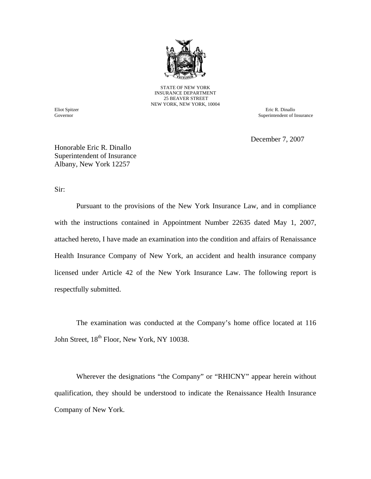

STATE OF NEW YORK INSURANCE DEPARTMENT 25 BEAVER STREET NEW YORK, NEW YORK, 10004

Governor

Eliot Spitzer Eric R. Dinallo Superintendent of Insurance

December 7, 2007

Honorable Eric R. Dinallo Superintendent of Insurance Albany, New York 12257

Sir:

Pursuant to the provisions of the New York Insurance Law, and in compliance with the instructions contained in Appointment Number 22635 dated May 1, 2007, attached hereto, I have made an examination into the condition and affairs of Renaissance Health Insurance Company of New York, an accident and health insurance company licensed under Article 42 of the New York Insurance Law. The following report is respectfully submitted.

The examination was conducted at the Company's home office located at 116 John Street,  $18^{th}$  Floor, New York, NY 10038.

Wherever the designations "the Company" or "RHICNY" appear herein without qualification, they should be understood to indicate the Renaissance Health Insurance Company of New York.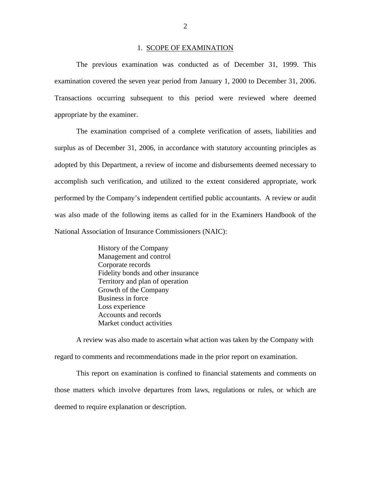#### 1. SCOPE OF EXAMINATION

<span id="page-3-0"></span>The previous examination was conducted as of December 31, 1999. This examination covered the seven year period from January 1, 2000 to December 31, 2006. Transactions occurring subsequent to this period were reviewed where deemed appropriate by the examiner.

The examination comprised of a complete verification of assets, liabilities and surplus as of December 31, 2006, in accordance with statutory accounting principles as adopted by this Department, a review of income and disbursements deemed necessary to accomplish such verification, and utilized to the extent considered appropriate, work performed by the Company's independent certified public accountants. A review or audit was also made of the following items as called for in the Examiners Handbook of the National Association of Insurance Commissioners (NAIC):

> History of the Company Management and control Corporate records Fidelity bonds and other insurance Territory and plan of operation Growth of the Company Business in force Loss experience Accounts and records Market conduct activities

A review was also made to ascertain what action was taken by the Company with regard to comments and recommendations made in the prior report on examination.

This report on examination is confined to financial statements and comments on those matters which involve departures from laws, regulations or rules, or which are deemed to require explanation or description.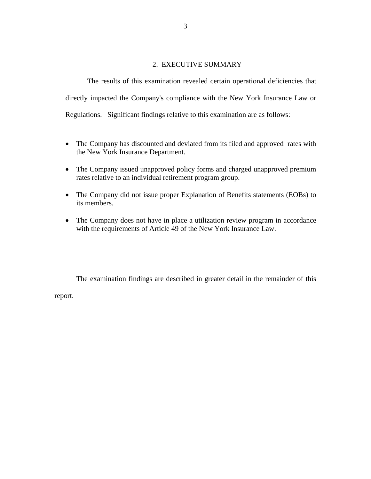# 2. EXECUTIVE SUMMARY

<span id="page-4-0"></span>The results of this examination revealed certain operational deficiencies that directly impacted the Company's compliance with the New York Insurance Law or Regulations. Significant findings relative to this examination are as follows:

- The Company has discounted and deviated from its filed and approved rates with the New York Insurance Department.
- The Company issued unapproved policy forms and charged unapproved premium rates relative to an individual retirement program group.
- The Company did not issue proper Explanation of Benefits statements (EOBs) to its members.
- The Company does not have in place a utilization review program in accordance with the requirements of Article 49 of the New York Insurance Law.

The examination findings are described in greater detail in the remainder of this

report.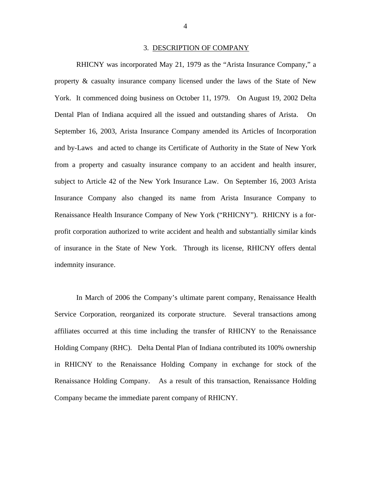#### 3. DESCRIPTION OF COMPANY

<span id="page-5-0"></span>RHICNY was incorporated May 21, 1979 as the "Arista Insurance Company," a property & casualty insurance company licensed under the laws of the State of New York. It commenced doing business on October 11, 1979. On August 19, 2002 Delta Dental Plan of Indiana acquired all the issued and outstanding shares of Arista. On September 16, 2003, Arista Insurance Company amended its Articles of Incorporation and by-Laws and acted to change its Certificate of Authority in the State of New York from a property and casualty insurance company to an accident and health insurer, subject to Article 42 of the New York Insurance Law. On September 16, 2003 Arista Insurance Company also changed its name from Arista Insurance Company to Renaissance Health Insurance Company of New York ("RHICNY"). RHICNY is a forprofit corporation authorized to write accident and health and substantially similar kinds of insurance in the State of New York. Through its license, RHICNY offers dental indemnity insurance.

In March of 2006 the Company's ultimate parent company, Renaissance Health Service Corporation, reorganized its corporate structure. Several transactions among affiliates occurred at this time including the transfer of RHICNY to the Renaissance Holding Company (RHC). Delta Dental Plan of Indiana contributed its 100% ownership in RHICNY to the Renaissance Holding Company in exchange for stock of the Renaissance Holding Company. As a result of this transaction, Renaissance Holding Company became the immediate parent company of RHICNY.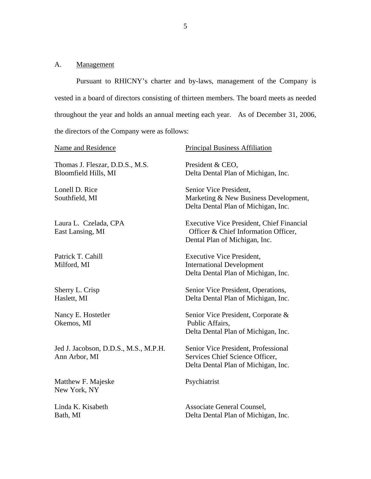# <span id="page-6-0"></span>A. **Management**

Pursuant to RHICNY's charter and by-laws, management of the Company is vested in a board of directors consisting of thirteen members. The board meets as needed throughout the year and holds an annual meeting each year. As of December 31, 2006, the directors of the Company were as follows:

| Name and Residence                                      | <b>Principal Business Affiliation</b>                                                                                     |
|---------------------------------------------------------|---------------------------------------------------------------------------------------------------------------------------|
| Thomas J. Fleszar, D.D.S., M.S.<br>Bloomfield Hills, MI | President & CEO,<br>Delta Dental Plan of Michigan, Inc.                                                                   |
| Lonell D. Rice<br>Southfield, MI                        | Senior Vice President,<br>Marketing & New Business Development,<br>Delta Dental Plan of Michigan, Inc.                    |
| Laura L. Czelada, CPA<br>East Lansing, MI               | <b>Executive Vice President, Chief Financial</b><br>Officer & Chief Information Officer,<br>Dental Plan of Michigan, Inc. |
| Patrick T. Cahill<br>Milford, MI                        | <b>Executive Vice President,</b><br><b>International Development</b><br>Delta Dental Plan of Michigan, Inc.               |
| Sherry L. Crisp<br>Haslett, MI                          | Senior Vice President, Operations,<br>Delta Dental Plan of Michigan, Inc.                                                 |
| Nancy E. Hostetler<br>Okemos, MI                        | Senior Vice President, Corporate &<br>Public Affairs,<br>Delta Dental Plan of Michigan, Inc.                              |
| Jed J. Jacobson, D.D.S., M.S., M.P.H.<br>Ann Arbor, MI  | Senior Vice President, Professional<br>Services Chief Science Officer,<br>Delta Dental Plan of Michigan, Inc.             |
| Matthew F. Majeske<br>New York, NY                      | Psychiatrist                                                                                                              |
| Linda K. Kisabeth<br>Bath, MI                           | Associate General Counsel,<br>Delta Dental Plan of Michigan, Inc.                                                         |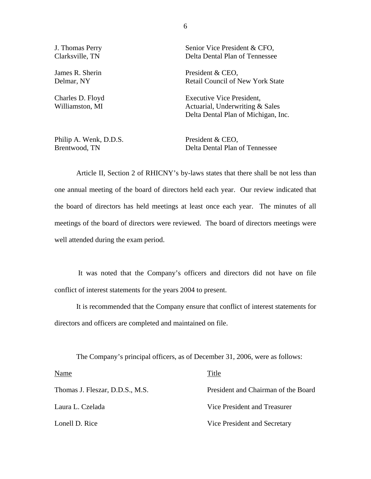Philip A. Wenk, D.D.S. President & CEO,

J. Thomas Perry Senior Vice President & CFO, Clarksville, TN Delta Dental Plan of Tennessee

James R. Sherin President & CEO, Delmar, NY Retail Council of New York State

Charles D. Floyd Executive Vice President, Williamston, MI Actuarial, Underwriting & Sales Delta Dental Plan of Michigan, Inc.

Brentwood, TN Delta Dental Plan of Tennessee

Article II, Section 2 of RHICNY's by-laws states that there shall be not less than one annual meeting of the board of directors held each year. Our review indicated that the board of directors has held meetings at least once each year. The minutes of all meetings of the board of directors were reviewed. The board of directors meetings were well attended during the exam period.

It was noted that the Company's officers and directors did not have on file conflict of interest statements for the years 2004 to present.

It is recommended that the Company ensure that conflict of interest statements for directors and officers are completed and maintained on file.

The Company's principal officers, as of December 31, 2006, were as follows:

| Name                            | Title                               |
|---------------------------------|-------------------------------------|
| Thomas J. Fleszar, D.D.S., M.S. | President and Chairman of the Board |
| Laura L. Czelada                | Vice President and Treasurer        |
| Lonell D. Rice                  | Vice President and Secretary        |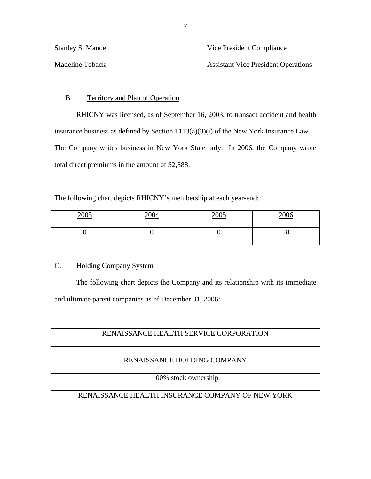| Stanley S. Mandell | Vice President Compliance                  |  |  |
|--------------------|--------------------------------------------|--|--|
| Madeline Toback    | <b>Assistant Vice President Operations</b> |  |  |

# B. Territory and Plan of Operation

RHICNY was licensed, as of September 16, 2003, to transact accident and health insurance business as defined by Section 1113(a)(3)(i) of the New York Insurance Law. The Company writes business in New York State only. In 2006, the Company wrote total direct premiums in the amount of \$2,888.

The following chart depicts RHICNY's membership at each year-end:

| 2003<br>$\frac{200J}{2}$ | 2004 | 2005 | 2006<br>$\sim$   |
|--------------------------|------|------|------------------|
|                          |      |      | າດ<br>$\angle 0$ |

# **Holding Company System**

C. Holding Company System<br>The following chart depicts the Company and its relationship with its immediate and ultimate parent companies as of December 31, 2006:

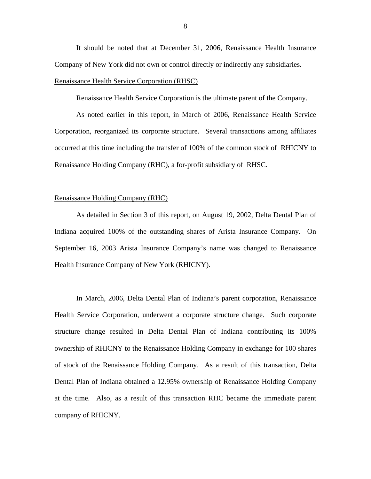It should be noted that at December 31, 2006, Renaissance Health Insurance Company of New York did not own or control directly or indirectly any subsidiaries.

#### Renaissance Health Service Corporation (RHSC)

Renaissance Health Service Corporation is the ultimate parent of the Company.

As noted earlier in this report, in March of 2006, Renaissance Health Service Corporation, reorganized its corporate structure. Several transactions among affiliates occurred at this time including the transfer of 100% of the common stock of RHICNY to Renaissance Holding Company (RHC), a for-profit subsidiary of RHSC.

#### Renaissance Holding Company (RHC)

As detailed in Section 3 of this report, on August 19, 2002, Delta Dental Plan of Indiana acquired 100% of the outstanding shares of Arista Insurance Company. On September 16, 2003 Arista Insurance Company's name was changed to Renaissance Health Insurance Company of New York (RHICNY).

In March, 2006, Delta Dental Plan of Indiana's parent corporation, Renaissance Health Service Corporation, underwent a corporate structure change. Such corporate structure change resulted in Delta Dental Plan of Indiana contributing its 100% ownership of RHICNY to the Renaissance Holding Company in exchange for 100 shares of stock of the Renaissance Holding Company. As a result of this transaction, Delta Dental Plan of Indiana obtained a 12.95% ownership of Renaissance Holding Company at the time. Also, as a result of this transaction RHC became the immediate parent company of RHICNY.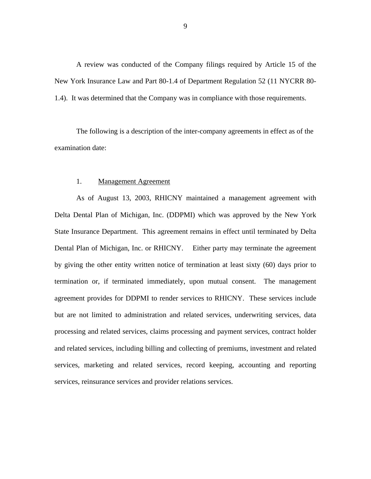A review was conducted of the Company filings required by Article 15 of the New York Insurance Law and Part 80-1.4 of Department Regulation 52 (11 NYCRR 80- 1.4). It was determined that the Company was in compliance with those requirements.

The following is a description of the inter-company agreements in effect as of the examination date:

#### 1. Management Agreement

As of August 13, 2003, RHICNY maintained a management agreement with Delta Dental Plan of Michigan, Inc. (DDPMI) which was approved by the New York State Insurance Department. This agreement remains in effect until terminated by Delta Dental Plan of Michigan, Inc. or RHICNY. Either party may terminate the agreement by giving the other entity written notice of termination at least sixty (60) days prior to termination or, if terminated immediately, upon mutual consent. The management agreement provides for DDPMI to render services to RHICNY. These services include but are not limited to administration and related services, underwriting services, data processing and related services, claims processing and payment services, contract holder and related services, including billing and collecting of premiums, investment and related services, marketing and related services, record keeping, accounting and reporting services, reinsurance services and provider relations services.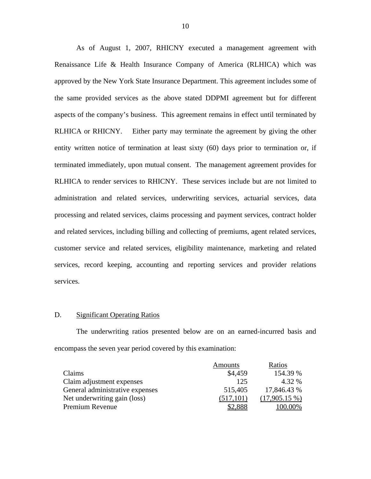As of August 1, 2007, RHICNY executed a management agreement with Renaissance Life & Health Insurance Company of America (RLHICA) which was approved by the New York State Insurance Department. This agreement includes some of the same provided services as the above stated DDPMI agreement but for different aspects of the company's business. This agreement remains in effect until terminated by RLHICA or RHICNY. Either party may terminate the agreement by giving the other entity written notice of termination at least sixty (60) days prior to termination or, if terminated immediately, upon mutual consent. The management agreement provides for RLHICA to render services to RHICNY. These services include but are not limited to administration and related services, underwriting services, actuarial services, data processing and related services, claims processing and payment services, contract holder and related services, including billing and collecting of premiums, agent related services, customer service and related services, eligibility maintenance, marketing and related services, record keeping, accounting and reporting services and provider relations services.

#### D. Significant Operating Ratios

The underwriting ratios presented below are on an earned-incurred basis and encompass the seven year period covered by this examination:

|                                 | Amounts    | Ratios          |
|---------------------------------|------------|-----------------|
| Claims                          | \$4.459    | 154.39 %        |
| Claim adjustment expenses       | 125        | 4.32 %          |
| General administrative expenses | 515,405    | 17,846.43 %     |
| Net underwriting gain (loss)    | (517, 101) | $(17,905.15\%)$ |
| Premium Revenue                 |            | $(00.00\%$      |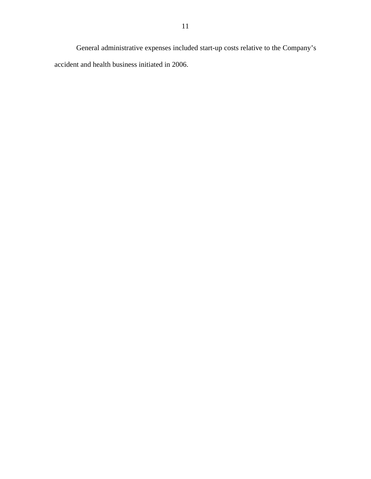General administrative expenses included start-up costs relative to the Company's accident and health business initiated in 2006.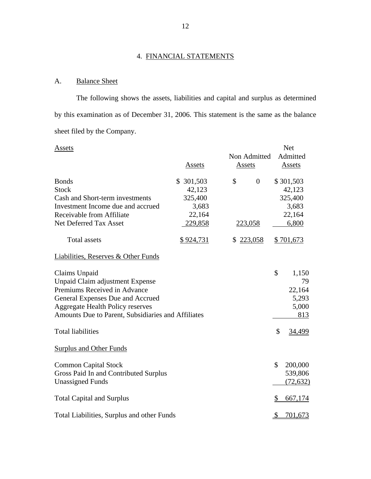# 4. FINANCIAL STATEMENTS

# A. Balance Sheet

The following shows the assets, liabilities and capital and surplus as determined by this examination as of December 31, 2006. This statement is the same as the balance sheet filed by the Company.

| Assets                                                         |                 |        |                |               | <b>Net</b>         |
|----------------------------------------------------------------|-----------------|--------|----------------|---------------|--------------------|
|                                                                | Assets          | Assets | Non Admitted   |               | Admitted<br>Assets |
| <b>Bonds</b>                                                   | \$ 301,503      | \$     | $\overline{0}$ |               | \$301,503          |
| <b>Stock</b>                                                   | 42,123          |        |                |               | 42,123             |
| Cash and Short-term investments                                | 325,400         |        |                |               | 325,400            |
| Investment Income due and accrued<br>Receivable from Affiliate | 3,683<br>22,164 |        |                |               | 3,683<br>22,164    |
| Net Deferred Tax Asset                                         | 229,858         |        | 223,058        |               | 6,800              |
|                                                                |                 |        |                |               |                    |
| <b>Total assets</b>                                            | \$924,731       | \$     | 223,058        |               | \$701,673          |
| Liabilities, Reserves & Other Funds                            |                 |        |                |               |                    |
| Claims Unpaid                                                  |                 |        |                | \$            | 1,150              |
| Unpaid Claim adjustment Expense                                |                 |        |                |               | 79                 |
| Premiums Received in Advance                                   |                 |        |                |               | 22,164             |
| General Expenses Due and Accrued                               |                 |        |                |               | 5,293              |
| <b>Aggregate Health Policy reserves</b>                        |                 |        |                |               | 5,000              |
| Amounts Due to Parent, Subsidiaries and Affiliates             |                 |        |                |               | 813                |
| <b>Total liabilities</b>                                       |                 |        |                | \$            | 34,499             |
| Surplus and Other Funds                                        |                 |        |                |               |                    |
| <b>Common Capital Stock</b>                                    |                 |        |                | \$            | 200,000            |
| Gross Paid In and Contributed Surplus                          |                 |        |                |               | 539,806            |
| <b>Unassigned Funds</b>                                        |                 |        |                |               | (72, 632)          |
| <b>Total Capital and Surplus</b>                               |                 |        |                | \$            | 667,174            |
| Total Liabilities, Surplus and other Funds                     |                 |        |                | $\mathcal{S}$ | 701,673            |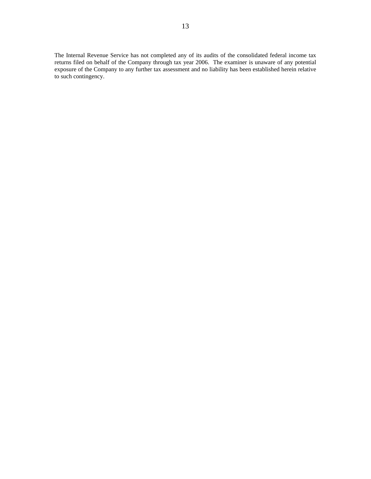The Internal Revenue Service has not completed any of its audits of the consolidated federal income tax returns filed on behalf of the Company through tax year 2006. The examiner is unaware of any potential exposure of the Company to any further tax assessment and no liability has been established herein relative to such contingency.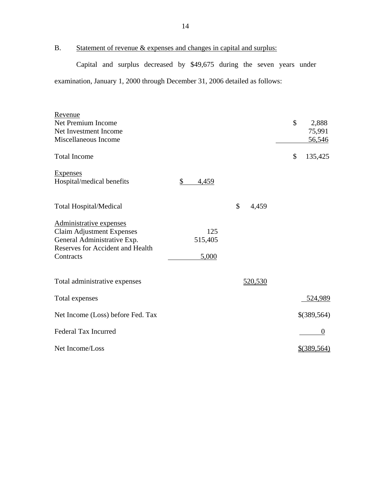B. Statement of revenue & expenses and changes in capital and surplus:

Capital and surplus decreased by \$49,675 during the seven years under examination, January 1, 2000 through December 31, 2006 detailed as follows:

| Revenue                                 |             |             |               |
|-----------------------------------------|-------------|-------------|---------------|
| Net Premium Income                      |             |             | \$<br>2,888   |
| Net Investment Income                   |             |             | 75,991        |
| Miscellaneous Income                    |             |             | 56,546        |
| <b>Total Income</b>                     |             |             | \$<br>135,425 |
| Expenses                                |             |             |               |
| Hospital/medical benefits               | \$<br>4,459 |             |               |
|                                         |             |             |               |
| <b>Total Hospital/Medical</b>           |             | \$<br>4,459 |               |
|                                         |             |             |               |
| Administrative expenses                 |             |             |               |
| <b>Claim Adjustment Expenses</b>        | 125         |             |               |
| General Administrative Exp.             | 515,405     |             |               |
| <b>Reserves for Accident and Health</b> |             |             |               |
| Contracts                               | 5,000       |             |               |
|                                         |             |             |               |
| Total administrative expenses           |             | 520,530     |               |
|                                         |             |             |               |
| Total expenses                          |             |             | 524,989       |
|                                         |             |             |               |
| Net Income (Loss) before Fed. Tax       |             |             | \$(389,564)   |
| <b>Federal Tax Incurred</b>             |             |             | $\theta$      |
|                                         |             |             |               |
| Net Income/Loss                         |             |             | $$$ (389,564) |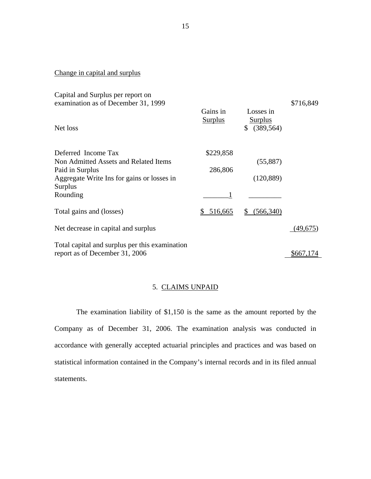# Change in capital and surplus

| Capital and Surplus per report on<br>examination as of December 31, 1999 |                            |                                              | \$716,849 |
|--------------------------------------------------------------------------|----------------------------|----------------------------------------------|-----------|
| Net loss                                                                 | Gains in<br><b>Surplus</b> | Losses in<br><b>Surplus</b><br>\$ (389, 564) |           |
| Deferred Income Tax                                                      | \$229,858                  |                                              |           |
| Non Admitted Assets and Related Items                                    |                            | (55,887)                                     |           |
| Paid in Surplus                                                          | 286,806                    |                                              |           |
| Aggregate Write Ins for gains or losses in                               |                            | (120, 889)                                   |           |
| Surplus                                                                  |                            |                                              |           |
| Rounding                                                                 |                            |                                              |           |
| Total gains and (losses)                                                 | 516,665<br>\$              | (566, 340)                                   |           |
| Net decrease in capital and surplus                                      |                            |                                              | (49,675)  |
| Total capital and surplus per this examination                           |                            |                                              |           |
| report as of December 31, 2006                                           |                            |                                              | \$667,174 |

# 5. CLAIMS UNPAID

The examination liability of \$1,150 is the same as the amount reported by the Company as of December 31, 2006. The examination analysis was conducted in accordance with generally accepted actuarial principles and practices and was based on statistical information contained in the Company's internal records and in its filed annual statements.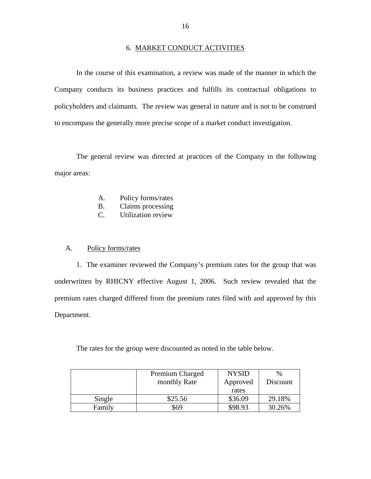#### 6. MARKET CONDUCT ACTIVITIES

In the course of this examination, a review was made of the manner in which the Company conducts its business practices and fulfills its contractual obligations to policyholders and claimants. The review was general in nature and is not to be construed to encompass the generally more precise scope of a market conduct investigation.

The general review was directed at practices of the Company in the following major areas:

- A. Policy forms/rates
- $B<sub>1</sub>$ Claims processing
- C. Utilization review

#### A. Policy forms/rates

1. The examiner reviewed the Company's premium rates for the group that was underwritten by RHICNY effective August 1, 2006. Such review revealed that the premium rates charged differed from the premium rates filed with and approved by this Department.

The rates for the group were discounted as noted in the table below.

|        | Premium Charged | <b>NYSID</b> | $\%$     |
|--------|-----------------|--------------|----------|
|        | monthly Rate    | Approved     | Discount |
|        |                 | rates        |          |
| Single | \$25.56         | \$36.09      | 29.18%   |
| Family | \$69            | \$98.93      | 30.26%   |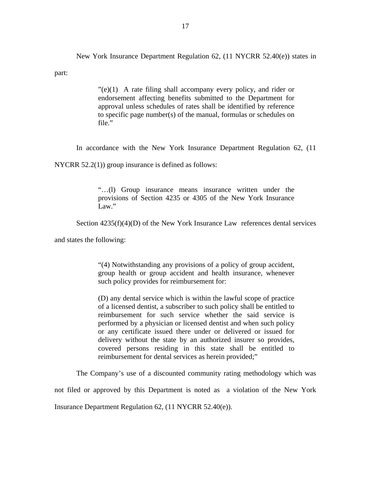New York Insurance Department Regulation 62, (11 NYCRR 52.40(e)) states in

part:

 $"$ (e)(1) A rate filing shall accompany every policy, and rider or endorsement affecting benefits submitted to the Department for approval unless schedules of rates shall be identified by reference to specific page number(s) of the manual, formulas or schedules on file."

In accordance with the New York Insurance Department Regulation 62, (11

NYCRR 52.2(1)) group insurance is defined as follows:

"…(l) Group insurance means insurance written under the provisions of Section 4235 or 4305 of the New York Insurance Law."

Section  $4235(f)(4)(D)$  of the New York Insurance Law references dental services

and states the following:

"(4) Notwithstanding any provisions of a policy of group accident, group health or group accident and health insurance, whenever such policy provides for reimbursement for:

(D) any dental service which is within the lawful scope of practice of a licensed dentist, a subscriber to such policy shall be entitled to reimbursement for such service whether the said service is performed by a physician or licensed dentist and when such policy or any certificate issued there under or delivered or issued for delivery without the state by an authorized insurer so provides, covered persons residing in this state shall be entitled to reimbursement for dental services as herein provided;"

The Company's use of a discounted community rating methodology which was

not filed or approved by this Department is noted as a violation of the New York

Insurance Department Regulation 62, (11 NYCRR 52.40(e)).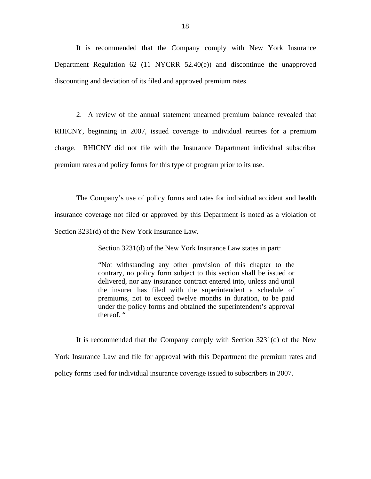It is recommended that the Company comply with New York Insurance Department Regulation 62 (11 NYCRR 52.40(e)) and discontinue the unapproved discounting and deviation of its filed and approved premium rates.

2. A review of the annual statement unearned premium balance revealed that RHICNY, beginning in 2007, issued coverage to individual retirees for a premium charge. RHICNY did not file with the Insurance Department individual subscriber premium rates and policy forms for this type of program prior to its use.

The Company's use of policy forms and rates for individual accident and health insurance coverage not filed or approved by this Department is noted as a violation of Section 3231(d) of the New York Insurance Law.

Section 3231(d) of the New York Insurance Law states in part:

"Not withstanding any other provision of this chapter to the contrary, no policy form subject to this section shall be issued or delivered, nor any insurance contract entered into, unless and until the insurer has filed with the superintendent a schedule of premiums, not to exceed twelve months in duration, to be paid under the policy forms and obtained the superintendent's approval thereof. "

It is recommended that the Company comply with Section 3231(d) of the New York Insurance Law and file for approval with this Department the premium rates and policy forms used for individual insurance coverage issued to subscribers in 2007.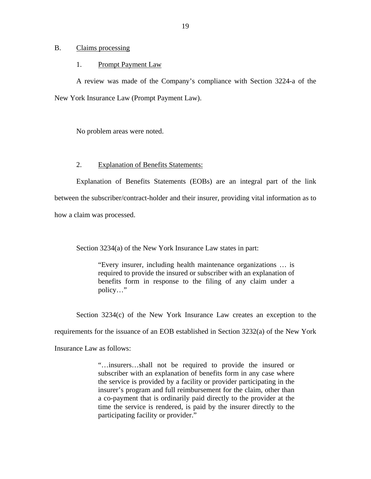#### B. Claims processing

#### 1. Prompt Payment Law

A review was made of the Company's compliance with Section 3224-a of the New York Insurance Law (Prompt Payment Law).

No problem areas were noted.

### 2. Explanation of Benefits Statements:

Explanation of Benefits Statements (EOBs) are an integral part of the link between the subscriber/contract-holder and their insurer, providing vital information as to how a claim was processed.

Section 3234(a) of the New York Insurance Law states in part:

"Every insurer, including health maintenance organizations … is required to provide the insured or subscriber with an explanation of benefits form in response to the filing of any claim under a policy…"

Section 3234(c) of the New York Insurance Law creates an exception to the

requirements for the issuance of an EOB established in Section 3232(a) of the New York

Insurance Law as follows:

"…insurers…shall not be required to provide the insured or subscriber with an explanation of benefits form in any case where the service is provided by a facility or provider participating in the insurer's program and full reimbursement for the claim, other than a co-payment that is ordinarily paid directly to the provider at the time the service is rendered, is paid by the insurer directly to the participating facility or provider."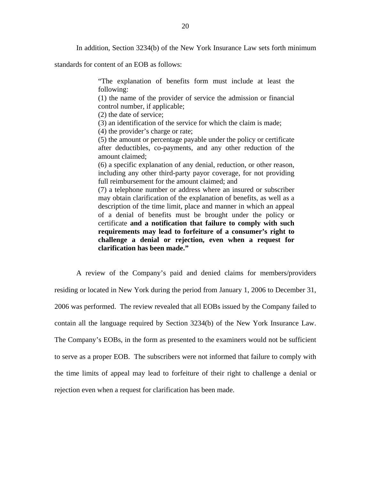In addition, Section 3234(b) of the New York Insurance Law sets forth minimum

standards for content of an EOB as follows:

"The explanation of benefits form must include at least the following:

(1) the name of the provider of service the admission or financial control number, if applicable;

(2) the date of service;

(3) an identification of the service for which the claim is made;

(4) the provider's charge or rate;

(5) the amount or percentage payable under the policy or certificate after deductibles, co-payments, and any other reduction of the amount claimed;

(6) a specific explanation of any denial, reduction, or other reason, including any other third-party payor coverage, for not providing full reimbursement for the amount claimed; and

(7) a telephone number or address where an insured or subscriber may obtain clarification of the explanation of benefits, as well as a description of the time limit, place and manner in which an appeal of a denial of benefits must be brought under the policy or certificate **and a notification that failure to comply with such requirements may lead to forfeiture of a consumer's right to challenge a denial or rejection, even when a request for clarification has been made."** 

A review of the Company's paid and denied claims for members/providers residing or located in New York during the period from January 1, 2006 to December 31, 2006 was performed. The review revealed that all EOBs issued by the Company failed to contain all the language required by Section 3234(b) of the New York Insurance Law. The Company's EOBs, in the form as presented to the examiners would not be sufficient to serve as a proper EOB. The subscribers were not informed that failure to comply with the time limits of appeal may lead to forfeiture of their right to challenge a denial or rejection even when a request for clarification has been made.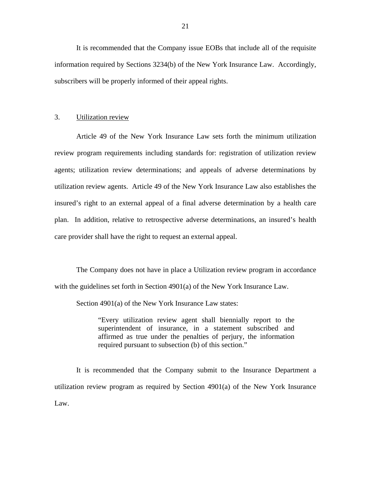It is recommended that the Company issue EOBs that include all of the requisite information required by Sections 3234(b) of the New York Insurance Law. Accordingly, subscribers will be properly informed of their appeal rights.

## 3. Utilization review

Article 49 of the New York Insurance Law sets forth the minimum utilization review program requirements including standards for: registration of utilization review agents; utilization review determinations; and appeals of adverse determinations by utilization review agents. Article 49 of the New York Insurance Law also establishes the insured's right to an external appeal of a final adverse determination by a health care plan. In addition, relative to retrospective adverse determinations, an insured's health care provider shall have the right to request an external appeal.

The Company does not have in place a Utilization review program in accordance with the guidelines set forth in Section 4901(a) of the New York Insurance Law.

Section 4901(a) of the New York Insurance Law states:

"Every utilization review agent shall biennially report to the superintendent of insurance, in a statement subscribed and affirmed as true under the penalties of perjury, the information required pursuant to subsection (b) of this section."

It is recommended that the Company submit to the Insurance Department a utilization review program as required by Section 4901(a) of the New York Insurance Law.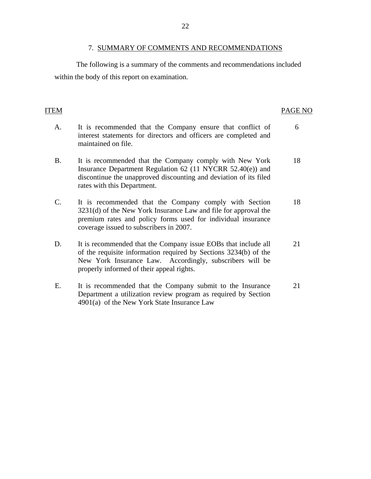### 7. SUMMARY OF COMMENTS AND RECOMMENDATIONS

<span id="page-23-0"></span>The following is a summary of the comments and recommendations included within the body of this report on examination.

#### **ITEM**

### PAGE NO

- A. It is recommended that the Company ensure that conflict of interest statements for directors and officers are completed and maintained on file. 6
- B. It is recommended that the Company comply with New York 18 Insurance Department Regulation 62 (11 NYCRR 52.40(e)) and discontinue the unapproved discounting and deviation of its filed rates with this Department.
- C. It is recommended that the Company comply with Section 18 3231(d) of the New York Insurance Law and file for approval the premium rates and policy forms used for individual insurance coverage issued to subscribers in 2007.
- D. It is recommended that the Company issue EOBs that include all 21 of the requisite information required by Sections 3234(b) of the New York Insurance Law. Accordingly, subscribers will be properly informed of their appeal rights.
- E. It is recommended that the Company submit to the Insurance 21 Department a utilization review program as required by Section 4901(a) of the New York State Insurance Law